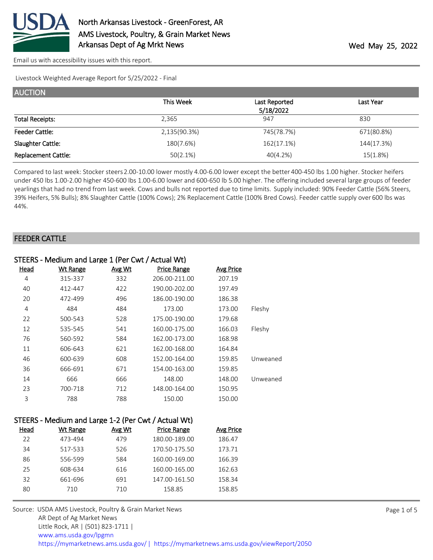

Livestock Weighted Average Report for 5/25/2022 - Final

| <b>AUCTION</b>             |              |               |            |
|----------------------------|--------------|---------------|------------|
|                            | This Week    | Last Reported | Last Year  |
|                            |              | 5/18/2022     |            |
| <b>Total Receipts:</b>     | 2,365        | 947           | 830        |
| <b>Feeder Cattle:</b>      | 2,135(90.3%) | 745(78.7%)    | 671(80.8%) |
| Slaughter Cattle:          | 180(7.6%)    | 162(17.1%)    | 144(17.3%) |
| <b>Replacement Cattle:</b> | 50(2.1%)     | 40(4.2%)      | 15(1.8%)   |

Compared to last week: Stocker steers 2.00-10.00 lower mostly 4.00-6.00 lower except the better 400-450 lbs 1.00 higher. Stocker heifers under 450 lbs 1.00-2.00 higher 450-600 lbs 1.00-6.00 lower and 600-650 lb 5.00 higher. The offering included several large groups of feeder yearlings that had no trend from last week. Cows and bulls not reported due to time limits. Supply included: 90% Feeder Cattle (56% Steers, 39% Heifers, 5% Bulls); 8% Slaughter Cattle (100% Cows); 2% Replacement Cattle (100% Bred Cows). Feeder cattle supply over 600 lbs was 44%.

#### FEEDER CATTLE

|          | STEERS - Medium and Large 1 (Per Cwt / Actual Wt) |                    |        |                 |             |  |
|----------|---------------------------------------------------|--------------------|--------|-----------------|-------------|--|
|          | <b>Avg Price</b>                                  | <b>Price Range</b> | Avg Wt | <b>Wt Range</b> | <u>Head</u> |  |
|          | 207.19                                            | 206.00-211.00      | 332    | 315-337         | 4           |  |
|          | 197.49                                            | 190.00-202.00      | 422    | 412-447         | 40          |  |
|          | 186.38                                            | 186.00-190.00      | 496    | 472-499         | 20          |  |
| Fleshy   | 173.00                                            | 173.00             | 484    | 484             | 4           |  |
|          | 179.68                                            | 175.00-190.00      | 528    | 500-543         | 22          |  |
| Fleshy   | 166.03                                            | 160.00-175.00      | 541    | 535-545         | 12          |  |
|          | 168.98                                            | 162.00-173.00      | 584    | 560-592         | 76          |  |
|          | 164.84                                            | 162.00-168.00      | 621    | 606-643         | 11          |  |
| Unweaned | 159.85                                            | 152.00-164.00      | 608    | 600-639         | 46          |  |
|          | 159.85                                            | 154.00-163.00      | 671    | 666-691         | 36          |  |
| Unweaned | 148.00                                            | 148.00             | 666    | 666             | 14          |  |
|          | 150.95                                            | 148.00-164.00      | 712    | 700-718         | 23          |  |
|          | 150.00                                            | 150.00             | 788    | 788             | 3           |  |
|          |                                                   |                    |        |                 |             |  |

## STEERS - Medium and Large 1-2 (Per Cwt / Actual Wt)

| Head | Wt Range | Avg Wt | <b>Price Range</b> | Avg Price |
|------|----------|--------|--------------------|-----------|
| 22   | 473-494  | 479    | 180.00-189.00      | 186.47    |
| 34   | 517-533  | 526    | 170.50-175.50      | 173.71    |
| 86   | 556-599  | 584    | 160.00-169.00      | 166.39    |
| 25   | 608-634  | 616    | 160.00-165.00      | 162.63    |
| 32   | 661-696  | 691    | 147.00-161.50      | 158.34    |
| 80   | 710      | 710    | 158.85             | 158.85    |
|      |          |        |                    |           |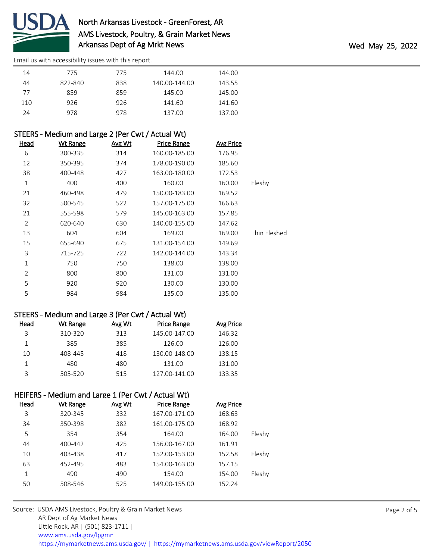

| 14  | 775     | 775 | 144.00        | 144.00 |
|-----|---------|-----|---------------|--------|
| 44  | 822-840 | 838 | 140.00-144.00 | 143.55 |
| 77  | 859     | 859 | 145.00        | 145.00 |
| 110 | 926     | 926 | 141.60        | 141.60 |
| 24  | 978     | 978 | 137.00        | 137.00 |

## STEERS - Medium and Large 2 (Per Cwt / Actual Wt)

| <b>Head</b>    | <b>Wt Range</b> | Avg Wt | <b>Price Range</b> | <b>Avg Price</b> |              |
|----------------|-----------------|--------|--------------------|------------------|--------------|
| 6              | 300-335         | 314    | 160.00-185.00      | 176.95           |              |
| 12             | 350-395         | 374    | 178.00-190.00      | 185.60           |              |
| 38             | 400-448         | 427    | 163.00-180.00      | 172.53           |              |
| $\mathbf 1$    | 400             | 400    | 160.00             | 160.00           | Fleshy       |
| 21             | 460-498         | 479    | 150.00-183.00      | 169.52           |              |
| 32             | 500-545         | 522    | 157.00-175.00      | 166.63           |              |
| 21             | 555-598         | 579    | 145.00-163.00      | 157.85           |              |
| 2              | 620-640         | 630    | 140.00-155.00      | 147.62           |              |
| 13             | 604             | 604    | 169.00             | 169.00           | Thin Fleshed |
| 15             | 655-690         | 675    | 131.00-154.00      | 149.69           |              |
| 3              | 715-725         | 722    | 142.00-144.00      | 143.34           |              |
| 1              | 750             | 750    | 138.00             | 138.00           |              |
| $\overline{2}$ | 800             | 800    | 131.00             | 131.00           |              |
| 5              | 920             | 920    | 130.00             | 130.00           |              |
| 5              | 984             | 984    | 135.00             | 135.00           |              |

#### STEERS - Medium and Large 3 (Per Cwt / Actual Wt)

| Head | Wt Range | Avg Wt | Price Range   | Avg Price |
|------|----------|--------|---------------|-----------|
| ς    | 310-320  | 313    | 145.00-147.00 | 146.32    |
|      | 385      | 385    | 126.00        | 126.00    |
| 10   | 408-445  | 418    | 130.00-148.00 | 138.15    |
|      | 480      | 480    | 131.00        | 131.00    |
|      | 505-520  | 515    | 127.00-141.00 | 133.35    |

## HEIFERS - Medium and Large 1 (Per Cwt / Actual Wt)

| Head | <b>Wt Range</b> | Avg Wt | <b>Price Range</b> | <b>Avg Price</b> |        |
|------|-----------------|--------|--------------------|------------------|--------|
| 3    | 320-345         | 332    | 167.00-171.00      | 168.63           |        |
| 34   | 350-398         | 382    | 161.00-175.00      | 168.92           |        |
| 5    | 354             | 354    | 164.00             | 164.00           | Fleshy |
| 44   | 400-442         | 425    | 156.00-167.00      | 161.91           |        |
| 10   | 403-438         | 417    | 152.00-153.00      | 152.58           | Fleshy |
| 63   | 452-495         | 483    | 154.00-163.00      | 157.15           |        |
| 1    | 490             | 490    | 154.00             | 154.00           | Fleshy |
| 50   | 508-546         | 525    | 149.00-155.00      | 152.24           |        |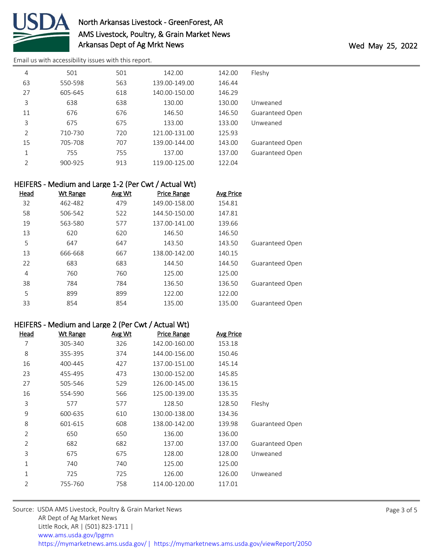

# North Arkansas Livestock - GreenForest, AR AMS Livestock, Poultry, & Grain Market News Arkansas Dept of Ag Mrkt News **Wed May 25, 2022**

[Email us with accessibility issues with this report.](mailto:mars@ams.usda.gov?subject=508%20issue)

| 4              | 501     | 501 | 142.00        | 142.00 | Fleshy                 |
|----------------|---------|-----|---------------|--------|------------------------|
| 63             | 550-598 | 563 | 139.00-149.00 | 146.44 |                        |
| 27             | 605-645 | 618 | 140.00-150.00 | 146.29 |                        |
| 3              | 638     | 638 | 130.00        | 130.00 | Unweaned               |
| 11             | 676     | 676 | 146.50        | 146.50 | Guaranteed Open        |
| 3              | 675     | 675 | 133.00        | 133.00 | Unweaned               |
| $\overline{2}$ | 710-730 | 720 | 121.00-131.00 | 125.93 |                        |
| 15             | 705-708 | 707 | 139.00-144.00 | 143.00 | <b>Guaranteed Open</b> |
| 1              | 755     | 755 | 137.00        | 137.00 | <b>Guaranteed Open</b> |
| $\mathcal{P}$  | 900-925 | 913 | 119.00-125.00 | 122.04 |                        |

#### HEIFERS - Medium and Large 1-2 (Per Cwt / Actual Wt)

| <u>Head</u>    | <b>Wt Range</b> | Avg Wt | <b>Price Range</b> | <b>Avg Price</b> |                 |
|----------------|-----------------|--------|--------------------|------------------|-----------------|
| 32             | 462-482         | 479    | 149.00-158.00      | 154.81           |                 |
| 58             | 506-542         | 522    | 144.50-150.00      | 147.81           |                 |
| 19             | 563-580         | 577    | 137.00-141.00      | 139.66           |                 |
| 13             | 620             | 620    | 146.50             | 146.50           |                 |
| 5              | 647             | 647    | 143.50             | 143.50           | Guaranteed Open |
| 13             | 666-668         | 667    | 138.00-142.00      | 140.15           |                 |
| 22             | 683             | 683    | 144.50             | 144.50           | Guaranteed Open |
| $\overline{4}$ | 760             | 760    | 125.00             | 125.00           |                 |
| 38             | 784             | 784    | 136.50             | 136.50           | Guaranteed Open |
| 5              | 899             | 899    | 122.00             | 122.00           |                 |
| 33             | 854             | 854    | 135.00             | 135.00           | Guaranteed Open |

#### HEIFERS - Medium and Large 2 (Per Cwt / Actual Wt)

| <u>Head</u>    | <b>Wt Range</b> | Avg Wt | <b>Price Range</b> | <b>Avg Price</b> |                        |
|----------------|-----------------|--------|--------------------|------------------|------------------------|
| 7              | 305-340         | 326    | 142.00-160.00      | 153.18           |                        |
| 8              | 355-395         | 374    | 144.00-156.00      | 150.46           |                        |
| 16             | 400-445         | 427    | 137.00-151.00      | 145.14           |                        |
| 23             | 455-495         | 473    | 130.00-152.00      | 145.85           |                        |
| 27             | 505-546         | 529    | 126.00-145.00      | 136.15           |                        |
| 16             | 554-590         | 566    | 125.00-139.00      | 135.35           |                        |
| 3              | 577             | 577    | 128.50             | 128.50           | Fleshy                 |
| 9              | 600-635         | 610    | 130.00-138.00      | 134.36           |                        |
| 8              | 601-615         | 608    | 138.00-142.00      | 139.98           | <b>Guaranteed Open</b> |
| $\overline{2}$ | 650             | 650    | 136.00             | 136.00           |                        |
| 2              | 682             | 682    | 137.00             | 137.00           | <b>Guaranteed Open</b> |
| 3              | 675             | 675    | 128.00             | 128.00           | Unweaned               |
| 1              | 740             | 740    | 125.00             | 125.00           |                        |
| 1              | 725             | 725    | 126.00             | 126.00           | Unweaned               |
| $\overline{2}$ | 755-760         | 758    | 114.00-120.00      | 117.01           |                        |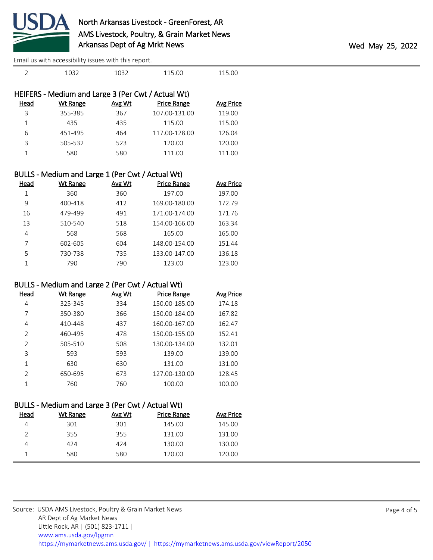

| HEIFERS - Medium and Large 3 (Per Cwt / Actual Wt) |          |               |                    |                  |  |
|----------------------------------------------------|----------|---------------|--------------------|------------------|--|
| Head                                               | Wt Range | <b>Avg Wt</b> | <b>Price Range</b> | <b>Avg Price</b> |  |
| 3                                                  | 355-385  | 367           | 107.00-131.00      | 119.00           |  |
|                                                    | 435      | 435           | 115.00             | 115.00           |  |
| 6                                                  | 451-495  | 464           | 117.00-128.00      | 126.04           |  |
| 3                                                  | 505-532  | 523           | 120.00             | 120.00           |  |
|                                                    | 580      | 580           | 111.00             | 111.00           |  |
|                                                    |          |               |                    |                  |  |

2 1032 1032 115.00 115.00

### BULLS - Medium and Large 1 (Per Cwt / Actual Wt)

| Head | Wt Range | <b>Avg Wt</b> | <b>Price Range</b> | Avg Price |
|------|----------|---------------|--------------------|-----------|
| 1    | 360      | 360           | 197.00             | 197.00    |
| 9    | 400-418  | 412           | 169.00-180.00      | 172.79    |
| 16   | 479-499  | 491           | 171.00-174.00      | 171.76    |
| 13   | 510-540  | 518           | 154.00-166.00      | 163.34    |
| 4    | 568      | 568           | 165.00             | 165.00    |
|      | 602-605  | 604           | 148.00-154.00      | 151.44    |
| 5    | 730-738  | 735           | 133.00-147.00      | 136.18    |
|      | 790      | 790           | 123.00             | 123.00    |

#### BULLS - Medium and Large 2 (Per Cwt / Actual Wt)

| Head          | Wt Range | Avg Wt | Price Range   | Avg Price |
|---------------|----------|--------|---------------|-----------|
| 4             | 325-345  | 334    | 150.00-185.00 | 174.18    |
| 7             | 350-380  | 366    | 150.00-184.00 | 167.82    |
| 4             | 410-448  | 437    | 160.00-167.00 | 162.47    |
| $\mathcal{P}$ | 460-495  | 478    | 150.00-155.00 | 152.41    |
| $\mathcal{P}$ | 505-510  | 508    | 130.00-134.00 | 132.01    |
| 3             | 593      | 593    | 139.00        | 139.00    |
| 1             | 630      | 630    | 131.00        | 131.00    |
| $\mathcal{P}$ | 650-695  | 673    | 127.00-130.00 | 128.45    |
| 1             | 760      | 760    | 100.00        | 100.00    |

## BULLS - Medium and Large 3 (Per Cwt / Actual Wt)

| Head | Wt Range | Avg Wt | <b>Price Range</b> | Avg Price |
|------|----------|--------|--------------------|-----------|
|      | 301      | 301    | 145.00             | 145.00    |
|      | 355      | 355    | 131.00             | 131.00    |
| 4    | 424      | 424    | 130.00             | 130.00    |
|      | 580      | 580    | 120.00             | 120.00    |